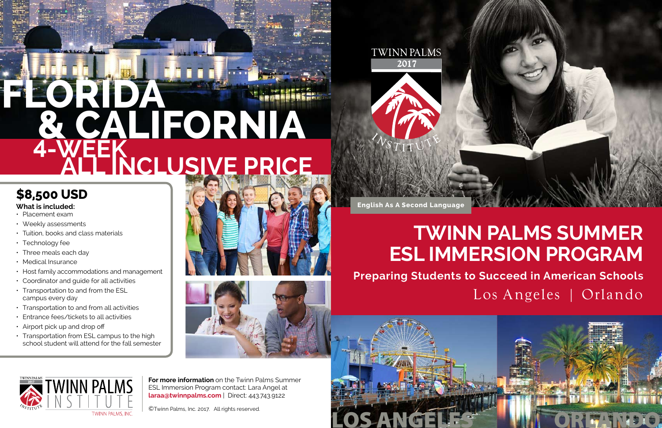# **Twinn Palms Summer ESL IMMersion Program** Los Angeles | Orlando **Preparing Students to Succeed in American Schools**

**English As A Second Language**

### **\$8,500 USD**

#### **What is included:**

- • Placement exam
- Weekly assessments
- Tuition, books and class materials
- Technology fee
- $\cdot$  Three meals each day
- Medical Insurance
- Host family accommodations and management
- Coordinator and guide for all activities
- Transportation to and from the ESL campus every day
- Transportation to and from all activities
- • Entrance fees/tickets to all activities
- Airport pick up and drop off
- $\cdot$  Transportation from ESL campus to the high school student will attend for the fall semester







# **All Inclusive price Florida & california 4-Week**

**For more information** on the Twinn Palms Summer ESL Immersion Program contact: Lara Angel at **laraa@twinnpalms.com** | Direct: 443.743.9122

©Twinn Palms, Inc. 2017. All rights reserved.